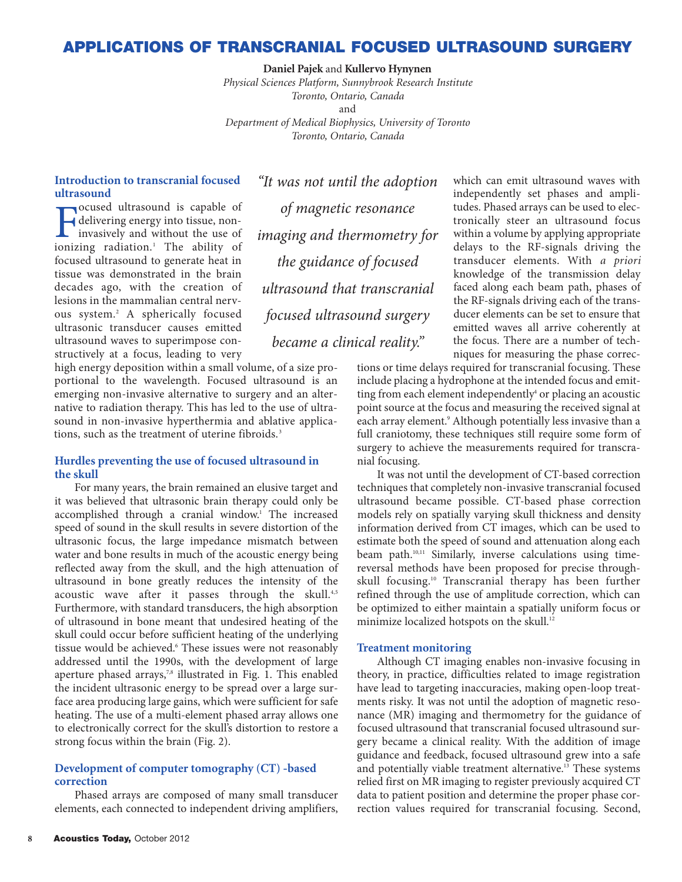## **APPLICATIONS OF TRANSCRANIAL FOCUSED ULTRASOUND SURGERY**

**Daniel Pajek** and **Kullervo Hynynen**

*Physical Sciences Platform, Sunnybrook Research Institute Toronto, Ontario, Canada* and *Department of Medical Biophysics, University of Toronto Toronto, Ontario, Canada*

## **Introduction to transcranial focused ultrasound**

**F** delivering energy into tissue, non-<br>invasively and without the use of<br>ionizing radiation.<sup>1</sup> The ability of ocused ultrasound is capable of delivering energy into tissue, noninvasively and without the use of focused ultrasound to generate heat in tissue was demonstrated in the brain decades ago, with the creation of lesions in the mammalian central nervous system.2 A spherically focused ultrasonic transducer causes emitted ultrasound waves to superimpose constructively at a focus, leading to very

high energy deposition within a small volume, of a size proportional to the wavelength. Focused ultrasound is an emerging non-invasive alternative to surgery and an alternative to radiation therapy. This has led to the use of ultrasound in non-invasive hyperthermia and ablative applications, such as the treatment of uterine fibroids.<sup>3</sup>

#### **Hurdles preventing the use of focused ultrasound in the skull**

For many years, the brain remained an elusive target and it was believed that ultrasonic brain therapy could only be accomplished through a cranial window.<sup>1</sup> The increased speed of sound in the skull results in severe distortion of the ultrasonic focus, the large impedance mismatch between water and bone results in much of the acoustic energy being reflected away from the skull, and the high attenuation of ultrasound in bone greatly reduces the intensity of the acoustic wave after it passes through the skull.<sup>4,5</sup> Furthermore, with standard transducers, the high absorption of ultrasound in bone meant that undesired heating of the skull could occur before sufficient heating of the underlying tissue would be achieved.<sup>6</sup> These issues were not reasonably addressed until the 1990s, with the development of large aperture phased arrays,<sup>7,8</sup> illustrated in Fig. 1. This enabled the incident ultrasonic energy to be spread over a large surface area producing large gains, which were sufficient for safe heating. The use of a multi-element phased array allows one to electronically correct for the skull's distortion to restore a strong focus within the brain (Fig. 2).

### **Development of computer tomography (CT) -based correction**

Phased arrays are composed of many small transducer elements, each connected to independent driving amplifiers,

*"It was not until the adoption of magnetic resonance imaging and thermometry for the guidance of focused ultrasound that transcranial focused ultrasound surgery became a clinical reality."*

which can emit ultrasound waves with independently set phases and amplitudes. Phased arrays can be used to electronically steer an ultrasound focus within a volume by applying appropriate delays to the RF-signals driving the transducer elements. With *a priori* knowledge of the transmission delay faced along each beam path, phases of the RF-signals driving each of the transducer elements can be set to ensure that emitted waves all arrive coherently at the focus. There are a number of techniques for measuring the phase correc-

tions or time delays required for transcranial focusing. These include placing a hydrophone at the intended focus and emitting from each element independently<sup>4</sup> or placing an acoustic point source at the focus and measuring the received signal at each array element.<sup>9</sup> Although potentially less invasive than a full craniotomy, these techniques still require some form of surgery to achieve the measurements required for transcranial focusing.

It was not until the development of CT-based correction techniques that completely non-invasive transcranial focused ultrasound became possible. CT-based phase correction models rely on spatially varying skull thickness and density information derived from CT images, which can be used to estimate both the speed of sound and attenuation along each beam path.<sup>10,11</sup> Similarly, inverse calculations using timereversal methods have been proposed for precise throughskull focusing.10 Transcranial therapy has been further refined through the use of amplitude correction, which can be optimized to either maintain a spatially uniform focus or minimize localized hotspots on the skull.<sup>12</sup>

#### **Treatment monitoring**

Although CT imaging enables non-invasive focusing in theory, in practice, difficulties related to image registration have lead to targeting inaccuracies, making open-loop treatments risky. It was not until the adoption of magnetic resonance (MR) imaging and thermometry for the guidance of focused ultrasound that transcranial focused ultrasound surgery became a clinical reality. With the addition of image guidance and feedback, focused ultrasound grew into a safe and potentially viable treatment alternative.<sup>13</sup> These systems relied first on MR imaging to register previously acquired CT data to patient position and determine the proper phase correction values required for transcranial focusing. Second,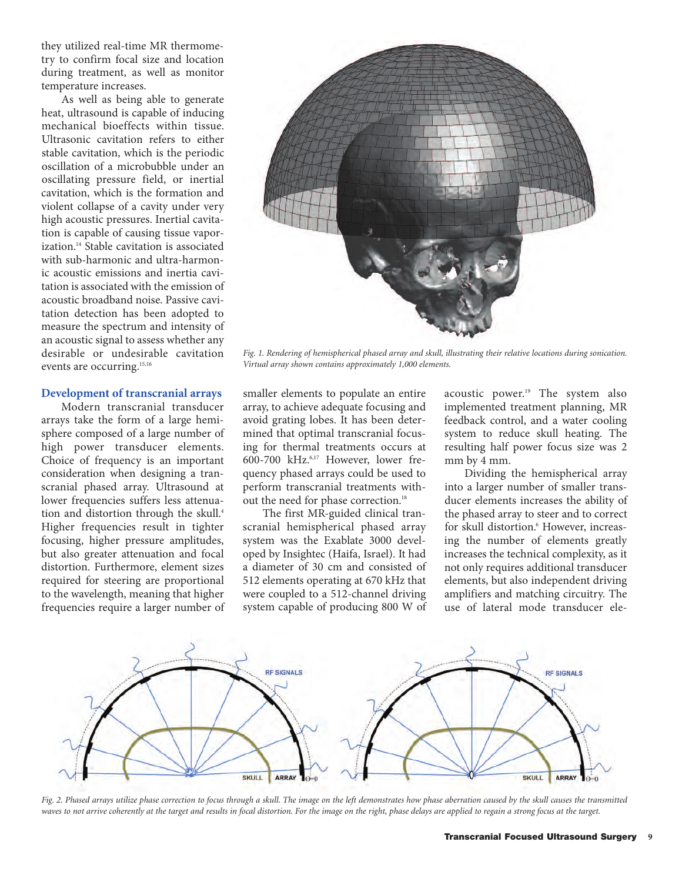they utilized real-time MR thermometry to confirm focal size and location during treatment, as well as monitor temperature increases.

As well as being able to generate heat, ultrasound is capable of inducing mechanical bioeffects within tissue. Ultrasonic cavitation refers to either stable cavitation, which is the periodic oscillation of a microbubble under an oscillating pressure field, or inertial cavitation, which is the formation and violent collapse of a cavity under very high acoustic pressures. Inertial cavitation is capable of causing tissue vaporization.14 Stable cavitation is associated with sub-harmonic and ultra-harmonic acoustic emissions and inertia cavitation is associated with the emission of acoustic broadband noise. Passive cavitation detection has been adopted to measure the spectrum and intensity of an acoustic signal to assess whether any desirable or undesirable cavitation events are occurring.<sup>15,16</sup>

#### **Development of transcranial arrays**

Modern transcranial transducer arrays take the form of a large hemisphere composed of a large number of high power transducer elements. Choice of frequency is an important consideration when designing a transcranial phased array. Ultrasound at lower frequencies suffers less attenuation and distortion through the skull.<sup>4</sup> Higher frequencies result in tighter focusing, higher pressure amplitudes, but also greater attenuation and focal distortion. Furthermore, element sizes required for steering are proportional to the wavelength, meaning that higher frequencies require a larger number of



*Fig. 1. Rendering of hemispherical phased array and skull, illustrating their relative locations during sonication. Virtual array shown contains approximately 1,000 elements.*

smaller elements to populate an entire array, to achieve adequate focusing and avoid grating lobes. It has been determined that optimal transcranial focusing for thermal treatments occurs at 600-700 kHz.6,17 However, lower frequency phased arrays could be used to perform transcranial treatments without the need for phase correction.<sup>18</sup>

The first MR-guided clinical transcranial hemispherical phased array system was the Exablate 3000 developed by Insightec (Haifa, Israel). It had a diameter of 30 cm and consisted of 512 elements operating at 670 kHz that were coupled to a 512-channel driving system capable of producing 800 W of

acoustic power.<sup>19</sup> The system also implemented treatment planning, MR feedback control, and a water cooling system to reduce skull heating. The resulting half power focus size was 2 mm by 4 mm.

Dividing the hemispherical array into a larger number of smaller transducer elements increases the ability of the phased array to steer and to correct for skull distortion.<sup>6</sup> However, increasing the number of elements greatly increases the technical complexity, as it not only requires additional transducer elements, but also independent driving amplifiers and matching circuitry. The use of lateral mode transducer ele-



*Fig. 2. Phased arrays utilize phase correction to focus through a skull. The image on the left demonstrates how phase aberration caused by the skull causes the transmitted waves to not arrive coherently at the target and results in focal distortion. For the image on the right, phase delays are applied to regain a strong focus at the target.*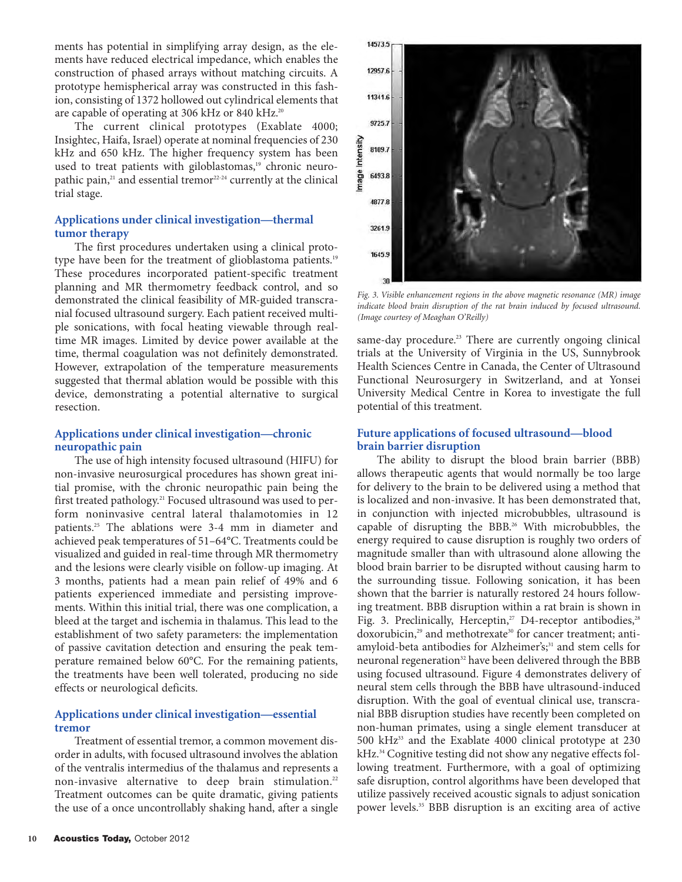ments has potential in simplifying array design, as the elements have reduced electrical impedance, which enables the construction of phased arrays without matching circuits. A prototype hemispherical array was constructed in this fashion, consisting of 1372 hollowed out cylindrical elements that are capable of operating at 306 kHz or 840 kHz.<sup>20</sup>

The current clinical prototypes (Exablate 4000; Insightec, Haifa, Israel) operate at nominal frequencies of 230 kHz and 650 kHz. The higher frequency system has been used to treat patients with giloblastomas,<sup>19</sup> chronic neuropathic pain,<sup>21</sup> and essential tremor<sup>22-24</sup> currently at the clinical trial stage.

## **Applications under clinical investigation—thermal tumor therapy**

The first procedures undertaken using a clinical prototype have been for the treatment of glioblastoma patients.<sup>19</sup> These procedures incorporated patient-specific treatment planning and MR thermometry feedback control, and so demonstrated the clinical feasibility of MR-guided transcranial focused ultrasound surgery. Each patient received multiple sonications, with focal heating viewable through realtime MR images. Limited by device power available at the time, thermal coagulation was not definitely demonstrated. However, extrapolation of the temperature measurements suggested that thermal ablation would be possible with this device, demonstrating a potential alternative to surgical resection.

#### **Applications under clinical investigation—chronic neuropathic pain**

The use of high intensity focused ultrasound (HIFU) for non-invasive neurosurgical procedures has shown great initial promise, with the chronic neuropathic pain being the first treated pathology.<sup>21</sup> Focused ultrasound was used to perform noninvasive central lateral thalamotomies in 12 patients.25 The ablations were 3-4 mm in diameter and achieved peak temperatures of 51–64°C. Treatments could be visualized and guided in real-time through MR thermometry and the lesions were clearly visible on follow-up imaging. At 3 months, patients had a mean pain relief of 49% and 6 patients experienced immediate and persisting improvements. Within this initial trial, there was one complication, a bleed at the target and ischemia in thalamus. This lead to the establishment of two safety parameters: the implementation of passive cavitation detection and ensuring the peak temperature remained below 60°C. For the remaining patients, the treatments have been well tolerated, producing no side effects or neurological deficits.

## **Applications under clinical investigation—essential tremor**

Treatment of essential tremor, a common movement disorder in adults, with focused ultrasound involves the ablation of the ventralis intermedius of the thalamus and represents a non-invasive alternative to deep brain stimulation.<sup>22</sup> Treatment outcomes can be quite dramatic, giving patients the use of a once uncontrollably shaking hand, after a single



*Fig. 3. Visible enhancement regions in the above magnetic resonance (MR) image indicate blood brain disruption of the rat brain induced by focused ultrasound. (Image courtesy of Meaghan O'Reilly)*

same-day procedure.<sup>23</sup> There are currently ongoing clinical trials at the University of Virginia in the US, Sunnybrook Health Sciences Centre in Canada, the Center of Ultrasound Functional Neurosurgery in Switzerland, and at Yonsei University Medical Centre in Korea to investigate the full potential of this treatment.

## **Future applications of focused ultrasound—blood brain barrier disruption**

The ability to disrupt the blood brain barrier (BBB) allows therapeutic agents that would normally be too large for delivery to the brain to be delivered using a method that is localized and non-invasive. It has been demonstrated that, in conjunction with injected microbubbles, ultrasound is capable of disrupting the BBB.26 With microbubbles, the energy required to cause disruption is roughly two orders of magnitude smaller than with ultrasound alone allowing the blood brain barrier to be disrupted without causing harm to the surrounding tissue. Following sonication, it has been shown that the barrier is naturally restored 24 hours following treatment. BBB disruption within a rat brain is shown in Fig. 3. Preclinically, Herceptin,<sup>27</sup> D4-receptor antibodies,<sup>28</sup> doxorubicin,<sup>29</sup> and methotrexate<sup>30</sup> for cancer treatment; antiamyloid-beta antibodies for Alzheimer's;<sup>31</sup> and stem cells for neuronal regeneration<sup>32</sup> have been delivered through the BBB using focused ultrasound. Figure 4 demonstrates delivery of neural stem cells through the BBB have ultrasound-induced disruption. With the goal of eventual clinical use, transcranial BBB disruption studies have recently been completed on non-human primates, using a single element transducer at 500 kHz33 and the Exablate 4000 clinical prototype at 230 kHz.<sup>34</sup> Cognitive testing did not show any negative effects following treatment. Furthermore, with a goal of optimizing safe disruption, control algorithms have been developed that utilize passively received acoustic signals to adjust sonication power levels.35 BBB disruption is an exciting area of active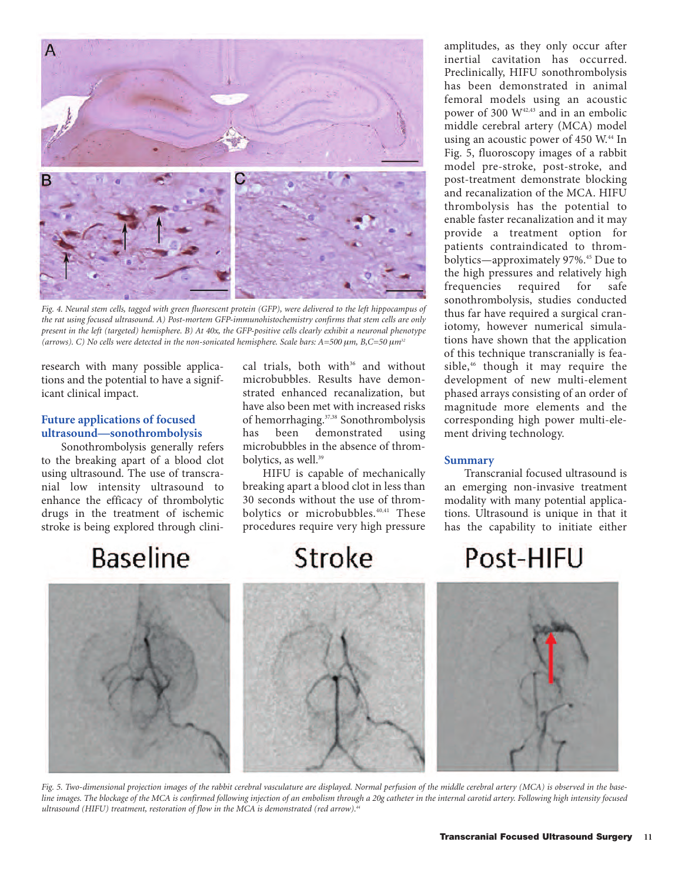

*Fig. 4. Neural stem cells, tagged with green fluorescent protein (GFP), were delivered to the left hippocampus of the rat using focused ultrasound. A) Post-mortem GFP-immunohistochemistry confirms that stem cells are only present in the left (targeted) hemisphere. B) At 40x, the GFP-positive cells clearly exhibit a neuronal phenotype (arrows). C) No cells were detected in the non-sonicated hemisphere. Scale bars: A=500*  $\mu$ *m, B,C=50*  $\mu$ *m<sup>32</sup>* 

research with many possible applications and the potential to have a significant clinical impact.

## **Future applications of focused ultrasound—sonothrombolysis**

Sonothrombolysis generally refers to the breaking apart of a blood clot using ultrasound. The use of transcranial low intensity ultrasound to enhance the efficacy of thrombolytic drugs in the treatment of ischemic stroke is being explored through clini-

cal trials, both with<sup>36</sup> and without microbubbles. Results have demonstrated enhanced recanalization, but have also been met with increased risks of hemorrhaging.37,38 Sonothrombolysis has been demonstrated using microbubbles in the absence of thrombolytics, as well.<sup>39</sup>

HIFU is capable of mechanically breaking apart a blood clot in less than 30 seconds without the use of thrombolytics or microbubbles.<sup>40,41</sup> These procedures require very high pressure

## **Baseline**

Stroke

amplitudes, as they only occur after inertial cavitation has occurred. Preclinically, HIFU sonothrombolysis has been demonstrated in animal femoral models using an acoustic power of 300 W42,43 and in an embolic middle cerebral artery (MCA) model using an acoustic power of 450 W.<sup>44</sup> In Fig. 5, fluoroscopy images of a rabbit model pre-stroke, post-stroke, and post-treatment demonstrate blocking and recanalization of the MCA. HIFU thrombolysis has the potential to enable faster recanalization and it may provide a treatment option for patients contraindicated to thrombolytics—approximately 97%.<sup>45</sup> Due to the high pressures and relatively high frequencies required for safe sonothrombolysis, studies conducted thus far have required a surgical craniotomy, however numerical simulations have shown that the application of this technique transcranially is feasible,<sup>46</sup> though it may require the development of new multi-element phased arrays consisting of an order of magnitude more elements and the corresponding high power multi-element driving technology.

## **Summary**

Transcranial focused ultrasound is an emerging non-invasive treatment modality with many potential applications. Ultrasound is unique in that it has the capability to initiate either

## Post-HIFU



*Fig. 5. Two-dimensional projection images of the rabbit cerebral vasculature are displayed. Normal perfusion of the middle cerebral artery (MCA) is observed in the baseline images. The blockage of the MCA is confirmed following injection of an embolism through a 20g catheter in the internal carotid artery. Following high intensity focused ultrasound (HIFU) treatment, restoration of flow in the MCA is demonstrated (red arrow).44*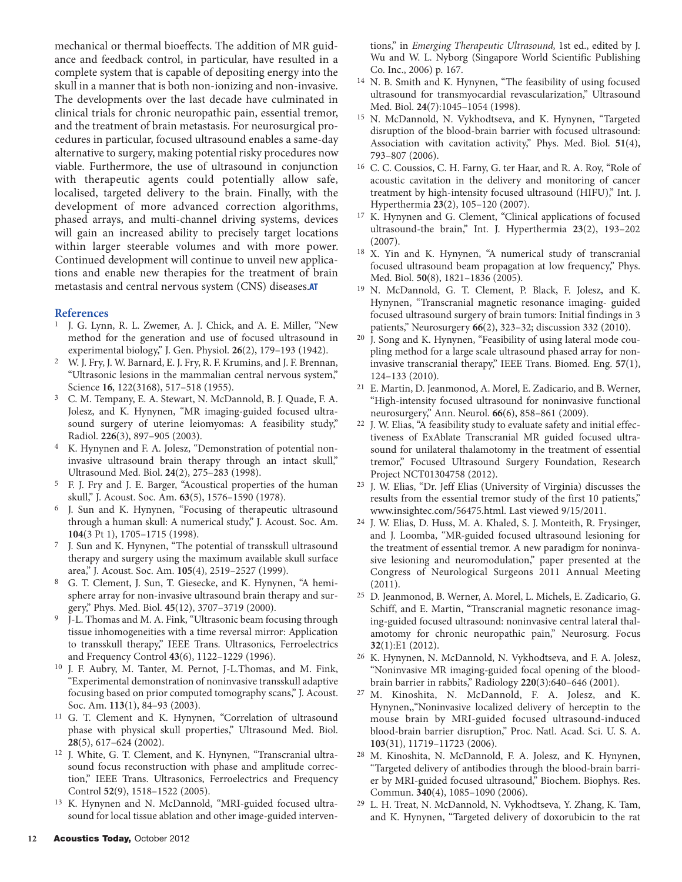mechanical or thermal bioeffects. The addition of MR guidance and feedback control, in particular, have resulted in a complete system that is capable of depositing energy into the skull in a manner that is both non-ionizing and non-invasive. The developments over the last decade have culminated in clinical trials for chronic neuropathic pain, essential tremor, and the treatment of brain metastasis. For neurosurgical procedures in particular, focused ultrasound enables a same-day alternative to surgery, making potential risky procedures now viable. Furthermore, the use of ultrasound in conjunction with therapeutic agents could potentially allow safe, localised, targeted delivery to the brain. Finally, with the development of more advanced correction algorithms, phased arrays, and multi-channel driving systems, devices will gain an increased ability to precisely target locations within larger steerable volumes and with more power. Continued development will continue to unveil new applications and enable new therapies for the treatment of brain metastasis and central nervous system (CNS) diseases.**AT**

### **References**

- 1 J. G. Lynn, R. L. Zwemer, A. J. Chick, and A. E. Miller, "New method for the generation and use of focused ultrasound in experimental biology," J. Gen. Physiol. **26**(2), 179–193 (1942).
- 2 W. J. Fry, J. W. Barnard, E. J. Fry, R. F. Krumins, and J. F. Brennan, "Ultrasonic lesions in the mammalian central nervous system," Science **16**, 122(3168), 517–518 (1955).
- 3 C. M. Tempany, E. A. Stewart, N. McDannold, B. J. Quade, F. A. Jolesz, and K. Hynynen, "MR imaging-guided focused ultrasound surgery of uterine leiomyomas: A feasibility study," Radiol. **226**(3), 897–905 (2003).
- 4 K. Hynynen and F. A. Jolesz, "Demonstration of potential noninvasive ultrasound brain therapy through an intact skull," Ultrasound Med. Biol. **24**(2), 275–283 (1998).
- 5 F. J. Fry and J. E. Barger, "Acoustical properties of the human skull," J. Acoust. Soc. Am. **63**(5), 1576–1590 (1978).
- 6 J. Sun and K. Hynynen, "Focusing of therapeutic ultrasound through a human skull: A numerical study," J. Acoust. Soc. Am. **104**(3 Pt 1), 1705–1715 (1998).
- 7 J. Sun and K. Hynynen, "The potential of transskull ultrasound therapy and surgery using the maximum available skull surface area," J. Acoust. Soc. Am. **105**(4), 2519–2527 (1999).
- 8 G. T. Clement, J. Sun, T. Giesecke, and K. Hynynen, "A hemisphere array for non-invasive ultrasound brain therapy and surgery," Phys. Med. Biol. **45**(12), 3707–3719 (2000).
- 9 J-L. Thomas and M. A. Fink, "Ultrasonic beam focusing through tissue inhomogeneities with a time reversal mirror: Application to transskull therapy," IEEE Trans. Ultrasonics, Ferroelectrics and Frequency Control **43**(6), 1122–1229 (1996).
- 10 J. F. Aubry, M. Tanter, M. Pernot, J-L.Thomas, and M. Fink, "Experimental demonstration of noninvasive transskull adaptive focusing based on prior computed tomography scans," J. Acoust. Soc. Am. **113**(1), 84–93 (2003).
- 11 G. T. Clement and K. Hynynen, "Correlation of ultrasound phase with physical skull properties," Ultrasound Med. Biol. **28**(5), 617–624 (2002).
- 12 J. White, G. T. Clement, and K. Hynynen, "Transcranial ultrasound focus reconstruction with phase and amplitude correction," IEEE Trans. Ultrasonics, Ferroelectrics and Frequency Control **52**(9), 1518–1522 (2005).
- 13 K. Hynynen and N. McDannold, "MRI-guided focused ultrasound for local tissue ablation and other image-guided interven-

tions," in *Emerging Therapeutic Ultrasound*, 1st ed., edited by J. Wu and W. L. Nyborg (Singapore World Scientific Publishing Co. Inc., 2006) p. 167.

- 14 N. B. Smith and K. Hynynen, "The feasibility of using focused ultrasound for transmyocardial revascularization," Ultrasound Med. Biol. **24**(7):1045–1054 (1998).
- N. McDannold, N. Vykhodtseva, and K. Hynynen, "Targeted disruption of the blood-brain barrier with focused ultrasound: Association with cavitation activity," Phys. Med. Biol. **51**(4), 793–807 (2006).
- 16 C. C. Coussios, C. H. Farny, G. ter Haar, and R. A. Roy, "Role of acoustic cavitation in the delivery and monitoring of cancer treatment by high-intensity focused ultrasound (HIFU)," Int. J. Hyperthermia **23**(2), 105–120 (2007).
- K. Hynynen and G. Clement, "Clinical applications of focused ultrasound-the brain," Int. J. Hyperthermia **23**(2), 193–202 (2007).
- X. Yin and K. Hynynen, "A numerical study of transcranial focused ultrasound beam propagation at low frequency," Phys. Med. Biol. **50**(8), 1821–1836 (2005).
- 19 N. McDannold, G. T. Clement, P. Black, F. Jolesz, and K. Hynynen, "Transcranial magnetic resonance imaging- guided focused ultrasound surgery of brain tumors: Initial findings in 3 patients," Neurosurgery **66**(2), 323–32; discussion 332 (2010).
- 20 J. Song and K. Hynynen, "Feasibility of using lateral mode coupling method for a large scale ultrasound phased array for noninvasive transcranial therapy," IEEE Trans. Biomed. Eng. **57**(1), 124–133 (2010).
- 21 E. Martin, D. Jeanmonod, A. Morel, E. Zadicario, and B. Werner, "High-intensity focused ultrasound for noninvasive functional neurosurgery," Ann. Neurol. **66**(6), 858–861 (2009).
- 22 J. W. Elias, "A feasibility study to evaluate safety and initial effectiveness of ExAblate Transcranial MR guided focused ultrasound for unilateral thalamotomy in the treatment of essential tremor," Focused Ultrasound Surgery Foundation, Research Project NCT01304758 (2012).
- 23 J. W. Elias, "Dr. Jeff Elias (University of Virginia) discusses the results from the essential tremor study of the first 10 patients," www.insightec.com/56475.html. Last viewed 9/15/2011.
- 24 J. W. Elias, D. Huss, M. A. Khaled, S. J. Monteith, R. Frysinger, and J. Loomba, "MR-guided focused ultrasound lesioning for the treatment of essential tremor. A new paradigm for noninvasive lesioning and neuromodulation," paper presented at the Congress of Neurological Surgeons 2011 Annual Meeting (2011).
- 25 D. Jeanmonod, B. Werner, A. Morel, L. Michels, E. Zadicario, G. Schiff, and E. Martin, "Transcranial magnetic resonance imaging-guided focused ultrasound: noninvasive central lateral thalamotomy for chronic neuropathic pain," Neurosurg. Focus **32**(1):E1 (2012).
- 26 K. Hynynen, N. McDannold, N. Vykhodtseva, and F. A. Jolesz, "Noninvasive MR imaging-guided focal opening of the bloodbrain barrier in rabbits," Radiology **220**(3):640–646 (2001).
- 27 M. Kinoshita, N. McDannold, F. A. Jolesz, and K. Hynynen,,"Noninvasive localized delivery of herceptin to the mouse brain by MRI-guided focused ultrasound-induced blood-brain barrier disruption," Proc. Natl. Acad. Sci. U. S. A. **103**(31), 11719–11723 (2006).
- 28 M. Kinoshita, N. McDannold, F. A. Jolesz, and K. Hynynen, "Targeted delivery of antibodies through the blood-brain barrier by MRI-guided focused ultrasound," Biochem. Biophys. Res. Commun. **340**(4), 1085–1090 (2006).
- 29 L. H. Treat, N. McDannold, N. Vykhodtseva, Y. Zhang, K. Tam, and K. Hynynen, "Targeted delivery of doxorubicin to the rat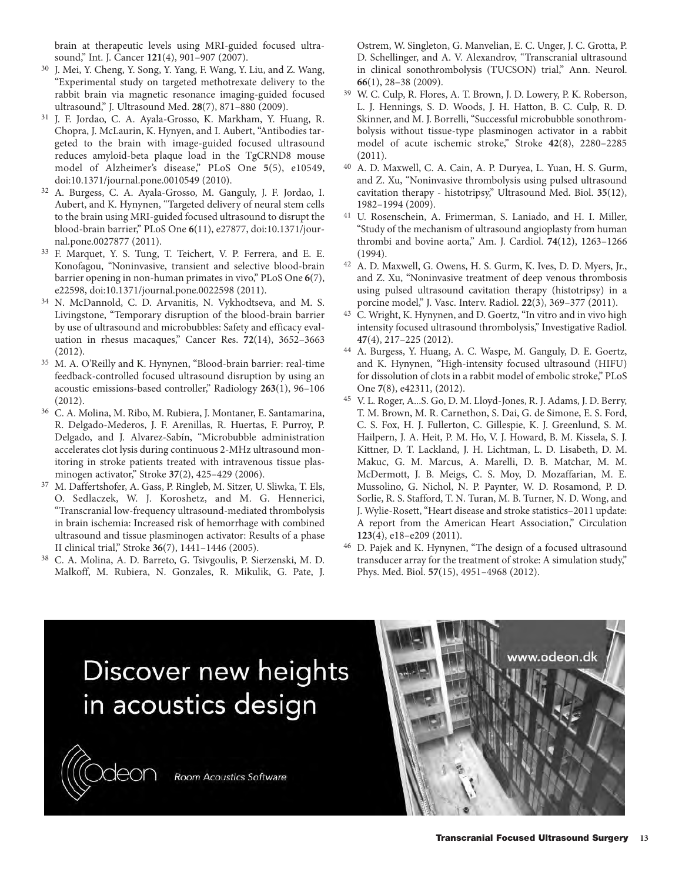brain at therapeutic levels using MRI-guided focused ultrasound," Int. J. Cancer **121**(4), 901–907 (2007).

- 30 J. Mei, Y. Cheng, Y. Song, Y. Yang, F. Wang, Y. Liu, and Z. Wang, "Experimental study on targeted methotrexate delivery to the rabbit brain via magnetic resonance imaging-guided focused ultrasound," J. Ultrasound Med. **28**(7), 871–880 (2009).
- 31 J. F. Jordao, C. A. Ayala-Grosso, K. Markham, Y. Huang, R. Chopra, J. McLaurin, K. Hynyen, and I. Aubert, "Antibodies targeted to the brain with image-guided focused ultrasound reduces amyloid-beta plaque load in the TgCRND8 mouse model of Alzheimer's disease," PLoS One **5**(5), e10549, doi:10.1371/journal.pone.0010549 (2010).
- 32 A. Burgess, C. A. Ayala-Grosso, M. Ganguly, J. F. Jordao, I. Aubert, and K. Hynynen, "Targeted delivery of neural stem cells to the brain using MRI-guided focused ultrasound to disrupt the blood-brain barrier," PLoS One **6**(11), e27877, doi:10.1371/journal.pone.0027877 (2011).
- 33 F. Marquet, Y. S. Tung, T. Teichert, V. P. Ferrera, and E. E. Konofagou, "Noninvasive, transient and selective blood-brain barrier opening in non-human primates in vivo," PLoS One **6**(7), e22598, doi:10.1371/journal.pone.0022598 (2011).
- 34 N. McDannold, C. D. Arvanitis, N. Vykhodtseva, and M. S. Livingstone, "Temporary disruption of the blood-brain barrier by use of ultrasound and microbubbles: Safety and efficacy evaluation in rhesus macaques," Cancer Res. **72**(14), 3652–3663 (2012).
- 35 M. A. O'Reilly and K. Hynynen, "Blood-brain barrier: real-time feedback-controlled focused ultrasound disruption by using an acoustic emissions-based controller," Radiology **263**(1), 96–106 (2012).
- 36 C. A. Molina, M. Ribo, M. Rubiera, J. Montaner, E. Santamarina, R. Delgado-Mederos, J. F. Arenillas, R. Huertas, F. Purroy, P. Delgado, and J. Alvarez-Sabín, "Microbubble administration accelerates clot lysis during continuous 2-MHz ultrasound monitoring in stroke patients treated with intravenous tissue plasminogen activator," Stroke **37**(2), 425–429 (2006).
- 37 M. Daffertshofer, A. Gass, P. Ringleb, M. Sitzer, U. Sliwka, T. Els, O. Sedlaczek, W. J. Koroshetz, and M. G. Hennerici, "Transcranial low-frequency ultrasound-mediated thrombolysis in brain ischemia: Increased risk of hemorrhage with combined ultrasound and tissue plasminogen activator: Results of a phase II clinical trial," Stroke **36**(7), 1441–1446 (2005).
- 38 C. A. Molina, A. D. Barreto, G. Tsivgoulis, P. Sierzenski, M. D. Malkoff, M. Rubiera, N. Gonzales, R. Mikulik, G. Pate, J.

leor

Ostrem, W. Singleton, G. Manvelian, E. C. Unger, J. C. Grotta, P. D. Schellinger, and A. V. Alexandrov, "Transcranial ultrasound in clinical sonothrombolysis (TUCSON) trial," Ann. Neurol. **66**(1), 28–38 (2009).

- 39 W. C. Culp, R. Flores, A. T. Brown, J. D. Lowery, P. K. Roberson, L. J. Hennings, S. D. Woods, J. H. Hatton, B. C. Culp, R. D. Skinner, and M. J. Borrelli, "Successful microbubble sonothrombolysis without tissue-type plasminogen activator in a rabbit model of acute ischemic stroke," Stroke **42**(8), 2280–2285 (2011).
- 40 A. D. Maxwell, C. A. Cain, A. P. Duryea, L. Yuan, H. S. Gurm, and Z. Xu, "Noninvasive thrombolysis using pulsed ultrasound cavitation therapy - histotripsy," Ultrasound Med. Biol. **35**(12), 1982–1994 (2009).
- 41 U. Rosenschein, A. Frimerman, S. Laniado, and H. I. Miller, "Study of the mechanism of ultrasound angioplasty from human thrombi and bovine aorta," Am. J. Cardiol. **74**(12), 1263–1266 (1994).
- 42 A. D. Maxwell, G. Owens, H. S. Gurm, K. Ives, D. D. Myers, Jr., and Z. Xu, "Noninvasive treatment of deep venous thrombosis using pulsed ultrasound cavitation therapy (histotripsy) in a porcine model," J. Vasc. Interv. Radiol. **22**(3), 369–377 (2011).
- 43 C. Wright, K. Hynynen, and D. Goertz, "In vitro and in vivo high intensity focused ultrasound thrombolysis," Investigative Radiol. **47**(4), 217–225 (2012).
- 44 A. Burgess, Y. Huang, A. C. Waspe, M. Ganguly, D. E. Goertz, and K. Hynynen, "High-intensity focused ultrasound (HIFU) for dissolution of clots in a rabbit model of embolic stroke," PLoS One **7**(8), e42311, (2012).
- 45 V. L. Roger, A...S. Go, D. M. Lloyd-Jones, R. J. Adams, J. D. Berry, T. M. Brown, M. R. Carnethon, S. Dai, G. de Simone, E. S. Ford, C. S. Fox, H. J. Fullerton, C. Gillespie, K. J. Greenlund, S. M. Hailpern, J. A. Heit, P. M. Ho, V. J. Howard, B. M. Kissela, S. J. Kittner, D. T. Lackland, J. H. Lichtman, L. D. Lisabeth, D. M. Makuc, G. M. Marcus, A. Marelli, D. B. Matchar, M. M. McDermott, J. B. Meigs, C. S. Moy, D. Mozaffarian, M. E. Mussolino, G. Nichol, N. P. Paynter, W. D. Rosamond, P. D. Sorlie, R. S. Stafford, T. N. Turan, M. B. Turner, N. D. Wong, and J. Wylie-Rosett, "Heart disease and stroke statistics–2011 update: A report from the American Heart Association," Circulation **123**(4), e18–e209 (2011).
- 46 D. Pajek and K. Hynynen, "The design of a focused ultrasound transducer array for the treatment of stroke: A simulation study," Phys. Med. Biol. **57**(15), 4951–4968 (2012).

# Discover new heights in acoustics design

Room Acoustics Software